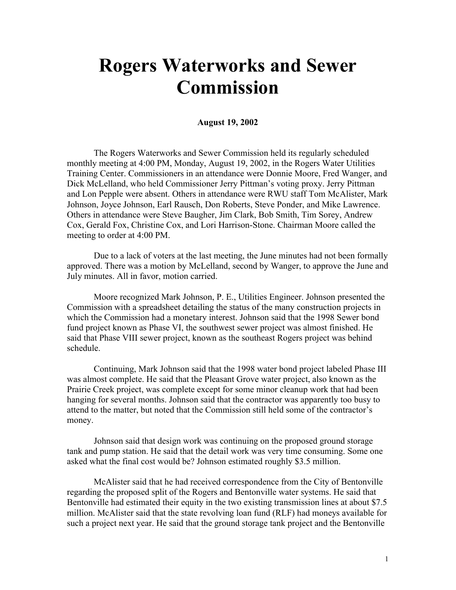## **Rogers Waterworks and Sewer Commission**

## **August 19, 2002**

The Rogers Waterworks and Sewer Commission held its regularly scheduled monthly meeting at 4:00 PM, Monday, August 19, 2002, in the Rogers Water Utilities Training Center. Commissioners in an attendance were Donnie Moore, Fred Wanger, and Dick McLelland, who held Commissioner Jerry Pittman's voting proxy. Jerry Pittman and Lon Pepple were absent. Others in attendance were RWU staff Tom McAlister, Mark Johnson, Joyce Johnson, Earl Rausch, Don Roberts, Steve Ponder, and Mike Lawrence. Others in attendance were Steve Baugher, Jim Clark, Bob Smith, Tim Sorey, Andrew Cox, Gerald Fox, Christine Cox, and Lori Harrison-Stone. Chairman Moore called the meeting to order at 4:00 PM.

Due to a lack of voters at the last meeting, the June minutes had not been formally approved. There was a motion by McLelland, second by Wanger, to approve the June and July minutes. All in favor, motion carried.

Moore recognized Mark Johnson, P. E., Utilities Engineer. Johnson presented the Commission with a spreadsheet detailing the status of the many construction projects in which the Commission had a monetary interest. Johnson said that the 1998 Sewer bond fund project known as Phase VI, the southwest sewer project was almost finished. He said that Phase VIII sewer project, known as the southeast Rogers project was behind schedule.

Continuing, Mark Johnson said that the 1998 water bond project labeled Phase III was almost complete. He said that the Pleasant Grove water project, also known as the Prairie Creek project, was complete except for some minor cleanup work that had been hanging for several months. Johnson said that the contractor was apparently too busy to attend to the matter, but noted that the Commission still held some of the contractor's money.

Johnson said that design work was continuing on the proposed ground storage tank and pump station. He said that the detail work was very time consuming. Some one asked what the final cost would be? Johnson estimated roughly \$3.5 million.

McAlister said that he had received correspondence from the City of Bentonville regarding the proposed split of the Rogers and Bentonville water systems. He said that Bentonville had estimated their equity in the two existing transmission lines at about \$7.5 million. McAlister said that the state revolving loan fund (RLF) had moneys available for such a project next year. He said that the ground storage tank project and the Bentonville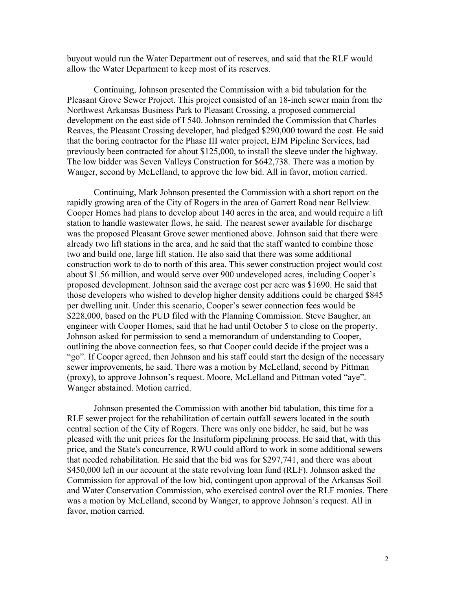buyout would run the Water Department out of reserves, and said that the RLF would allow the Water Department to keep most of its reserves.

Continuing, Johnson presented the Commission with a bid tabulation for the Pleasant Grove Sewer Project. This project consisted of an 18-inch sewer main from the Northwest Arkansas Business Park to Pleasant Crossing, a proposed commercial development on the east side of I 540. Johnson reminded the Commission that Charles Reaves, the Pleasant Crossing developer, had pledged \$290,000 toward the cost. He said that the boring contractor for the Phase III water project, EJM Pipeline Services, had previously been contracted for about \$125,000, to install the sleeve under the highway. The low bidder was Seven Valleys Construction for \$642,738. There was a motion by Wanger, second by McLelland, to approve the low bid. All in favor, motion carried.

Continuing, Mark Johnson presented the Commission with a short report on the rapidly growing area of the City of Rogers in the area of Garrett Road near Bellview. Cooper Homes had plans to develop about 140 acres in the area, and would require a lift station to handle wastewater flows, he said. The nearest sewer available for discharge was the proposed Pleasant Grove sewer mentioned above. Johnson said that there were already two lift stations in the area, and he said that the staff wanted to combine those two and build one, large lift station. He also said that there was some additional construction work to do to north of this area. This sewer construction project would cost about \$1.56 million, and would serve over 900 undeveloped acres, including Cooper's proposed development. Johnson said the average cost per acre was \$1690. He said that those developers who wished to develop higher density additions could be charged \$845 per dwelling unit. Under this scenario, Cooper's sewer connection fees would be \$228,000, based on the PUD filed with the Planning Commission. Steve Baugher, an engineer with Cooper Homes, said that he had until October 5 to close on the property. Johnson asked for permission to send a memorandum of understanding to Cooper, outlining the above connection fees, so that Cooper could decide if the project was a "go". If Cooper agreed, then Johnson and his staff could start the design of the necessary sewer improvements, he said. There was a motion by McLelland, second by Pittman (proxy), to approve Johnson's request. Moore, McLelland and Pittman voted "aye". Wanger abstained. Motion carried.

Johnson presented the Commission with another bid tabulation, this time for a RLF sewer project for the rehabilitation of certain outfall sewers located in the south central section of the City of Rogers. There was only one bidder, he said, but he was pleased with the unit prices for the Insituform pipelining process. He said that, with this price, and the State's concurrence, RWU could afford to work in some additional sewers that needed rehabilitation. He said that the bid was for \$297,741, and there was about \$450,000 left in our account at the state revolving loan fund (RLF). Johnson asked the Commission for approval of the low bid, contingent upon approval of the Arkansas Soil and Water Conservation Commission, who exercised control over the RLF monies. There was a motion by McLelland, second by Wanger, to approve Johnson's request. All in favor, motion carried.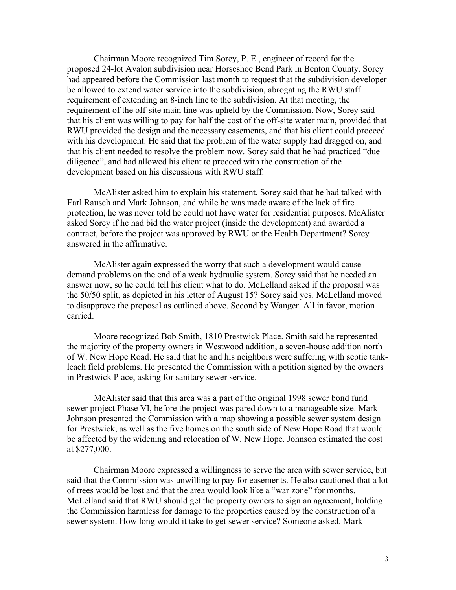Chairman Moore recognized Tim Sorey, P. E., engineer of record for the proposed 24-lot Avalon subdivision near Horseshoe Bend Park in Benton County. Sorey had appeared before the Commission last month to request that the subdivision developer be allowed to extend water service into the subdivision, abrogating the RWU staff requirement of extending an 8-inch line to the subdivision. At that meeting, the requirement of the off-site main line was upheld by the Commission. Now, Sorey said that his client was willing to pay for half the cost of the off-site water main, provided that RWU provided the design and the necessary easements, and that his client could proceed with his development. He said that the problem of the water supply had dragged on, and that his client needed to resolve the problem now. Sorey said that he had practiced "due diligence", and had allowed his client to proceed with the construction of the development based on his discussions with RWU staff.

McAlister asked him to explain his statement. Sorey said that he had talked with Earl Rausch and Mark Johnson, and while he was made aware of the lack of fire protection, he was never told he could not have water for residential purposes. McAlister asked Sorey if he had bid the water project (inside the development) and awarded a contract, before the project was approved by RWU or the Health Department? Sorey answered in the affirmative.

McAlister again expressed the worry that such a development would cause demand problems on the end of a weak hydraulic system. Sorey said that he needed an answer now, so he could tell his client what to do. McLelland asked if the proposal was the 50/50 split, as depicted in his letter of August 15? Sorey said yes. McLelland moved to disapprove the proposal as outlined above. Second by Wanger. All in favor, motion carried.

Moore recognized Bob Smith, 1810 Prestwick Place. Smith said he represented the majority of the property owners in Westwood addition, a seven-house addition north of W. New Hope Road. He said that he and his neighbors were suffering with septic tankleach field problems. He presented the Commission with a petition signed by the owners in Prestwick Place, asking for sanitary sewer service.

McAlister said that this area was a part of the original 1998 sewer bond fund sewer project Phase VI, before the project was pared down to a manageable size. Mark Johnson presented the Commission with a map showing a possible sewer system design for Prestwick, as well as the five homes on the south side of New Hope Road that would be affected by the widening and relocation of W. New Hope. Johnson estimated the cost at \$277,000.

Chairman Moore expressed a willingness to serve the area with sewer service, but said that the Commission was unwilling to pay for easements. He also cautioned that a lot of trees would be lost and that the area would look like a "war zone" for months. McLelland said that RWU should get the property owners to sign an agreement, holding the Commission harmless for damage to the properties caused by the construction of a sewer system. How long would it take to get sewer service? Someone asked. Mark